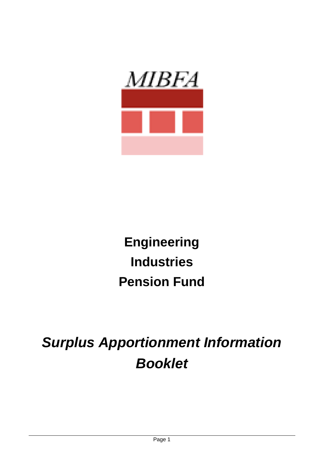

# **Engineering Industries Pension Fund**

*Surplus Apportionment Information Booklet*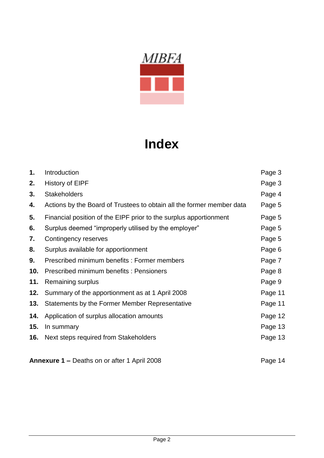

## **Index**

| 1.  | Introduction                                                          | Page 3  |
|-----|-----------------------------------------------------------------------|---------|
| 2.  | History of EIPF                                                       | Page 3  |
| 3.  | <b>Stakeholders</b>                                                   | Page 4  |
| 4.  | Actions by the Board of Trustees to obtain all the former member data | Page 5  |
| 5.  | Financial position of the EIPF prior to the surplus apportionment     | Page 5  |
| 6.  | Surplus deemed "improperly utilised by the employer"                  | Page 5  |
| 7.  | Contingency reserves                                                  | Page 5  |
| 8.  | Surplus available for apportionment                                   | Page 6  |
| 9.  | Prescribed minimum benefits: Former members                           | Page 7  |
| 10. | Prescribed minimum benefits: Pensioners                               | Page 8  |
| 11. | Remaining surplus                                                     | Page 9  |
| 12. | Summary of the apportionment as at 1 April 2008                       | Page 11 |
| 13. | Statements by the Former Member Representative                        | Page 11 |
| 14. | Application of surplus allocation amounts                             | Page 12 |
| 15. | In summary                                                            | Page 13 |
| 16. | Next steps required from Stakeholders                                 | Page 13 |
|     |                                                                       |         |

**Annexure 1 –** Deaths on or after 1 April 2008 **Page 14**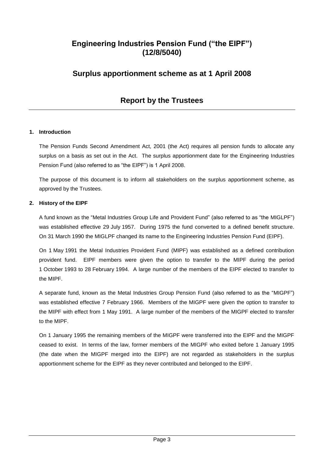## **Engineering Industries Pension Fund ("the EIPF") (12/8/5040)**

## **Surplus apportionment scheme as at 1 April 2008**

## **Report by the Trustees**

#### **1. Introduction**

The Pension Funds Second Amendment Act, 2001 (the Act) requires all pension funds to allocate any surplus on a basis as set out in the Act. The surplus apportionment date for the Engineering Industries Pension Fund (also referred to as "the EIPF") is 1 April 2008.

The purpose of this document is to inform all stakeholders on the surplus apportionment scheme, as approved by the Trustees.

#### **2. History of the EIPF**

A fund known as the "Metal Industries Group Life and Provident Fund" (also referred to as "the MIGLPF") was established effective 29 July 1957. During 1975 the fund converted to a defined benefit structure. On 31 March 1990 the MIGLPF changed its name to the Engineering Industries Pension Fund (EIPF).

On 1 May 1991 the Metal Industries Provident Fund (MIPF) was established as a defined contribution provident fund. EIPF members were given the option to transfer to the MIPF during the period 1 October 1993 to 28 February 1994. A large number of the members of the EIPF elected to transfer to the MIPF.

A separate fund, known as the Metal Industries Group Pension Fund (also referred to as the "MIGPF") was established effective 7 February 1966. Members of the MIGPF were given the option to transfer to the MIPF with effect from 1 May 1991. A large number of the members of the MIGPF elected to transfer to the MIPF.

On 1 January 1995 the remaining members of the MIGPF were transferred into the EIPF and the MIGPF ceased to exist. In terms of the law, former members of the MIGPF who exited before 1 January 1995 (the date when the MIGPF merged into the EIPF) are not regarded as stakeholders in the surplus apportionment scheme for the EIPF as they never contributed and belonged to the EIPF.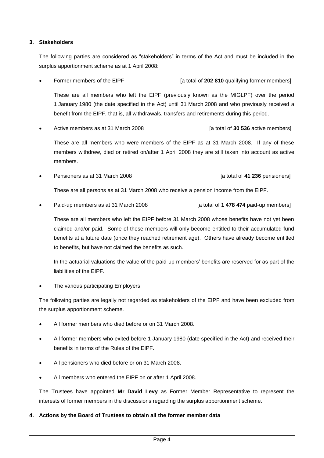#### **3. Stakeholders**

The following parties are considered as "stakeholders" in terms of the Act and must be included in the surplus apportionment scheme as at 1 April 2008:

Former members of the EIPF **[alternal of 202 810** qualifying former members]

These are all members who left the EIPF (previously known as the MIGLPF) over the period 1 January 1980 (the date specified in the Act) until 31 March 2008 and who previously received a benefit from the EIPF, that is, all withdrawals, transfers and retirements during this period.

Active members as at 31 March 2008 **and Struth 10 and Struth 10 and Struth 10** at total of **30 536** active members]

These are all members who were members of the EIPF as at 31 March 2008. If any of these members withdrew, died or retired on/after 1 April 2008 they are still taken into account as active members.

Pensioners as at 31 March 2008 **and Contract as a term of the set of 41 236** pensioners]

These are all persons as at 31 March 2008 who receive a pension income from the EIPF.

Paid-up members as at 31 March 2008 **[alsong barefall of <b>1** 478 474 paid-up members]

These are all members who left the EIPF before 31 March 2008 whose benefits have not yet been claimed and/or paid. Some of these members will only become entitled to their accumulated fund benefits at a future date (once they reached retirement age). Others have already become entitled to benefits, but have not claimed the benefits as such.

In the actuarial valuations the value of the paid-up members' benefits are reserved for as part of the liabilities of the EIPF.

The various participating Employers

The following parties are legally not regarded as stakeholders of the EIPF and have been excluded from the surplus apportionment scheme.

- All former members who died before or on 31 March 2008.
- All former members who exited before 1 January 1980 (date specified in the Act) and received their benefits in terms of the Rules of the EIPF.
- All pensioners who died before or on 31 March 2008.
- All members who entered the EIPF on or after 1 April 2008.

The Trustees have appointed **Mr David Levy** as Former Member Representative to represent the interests of former members in the discussions regarding the surplus apportionment scheme.

#### **4. Actions by the Board of Trustees to obtain all the former member data**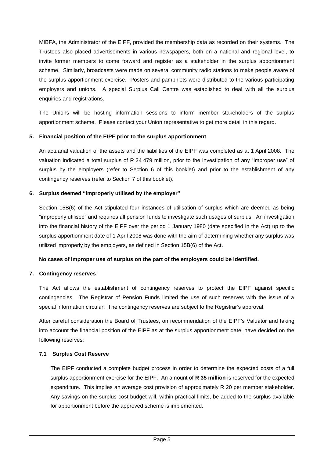MIBFA, the Administrator of the EIPF, provided the membership data as recorded on their systems. The Trustees also placed advertisements in various newspapers, both on a national and regional level, to invite former members to come forward and register as a stakeholder in the surplus apportionment scheme. Similarly, broadcasts were made on several community radio stations to make people aware of the surplus apportionment exercise. Posters and pamphlets were distributed to the various participating employers and unions. A special Surplus Call Centre was established to deal with all the surplus enquiries and registrations.

The Unions will be hosting information sessions to inform member stakeholders of the surplus apportionment scheme. Please contact your Union representative to get more detail in this regard.

#### **5. Financial position of the EIPF prior to the surplus apportionment**

An actuarial valuation of the assets and the liabilities of the EIPF was completed as at 1 April 2008. The valuation indicated a total surplus of R 24 479 million, prior to the investigation of any "improper use" of surplus by the employers (refer to Section 6 of this booklet) and prior to the establishment of any contingency reserves (refer to Section 7 of this booklet).

#### **6. Surplus deemed "improperly utilised by the employer"**

Section 15B(6) of the Act stipulated four instances of utilisation of surplus which are deemed as being "improperly utilised" and requires all pension funds to investigate such usages of surplus. An investigation into the financial history of the EIPF over the period 1 January 1980 (date specified in the Act) up to the surplus apportionment date of 1 April 2008 was done with the aim of determining whether any surplus was utilized improperly by the employers, as defined in Section 15B(6) of the Act.

#### **No cases of improper use of surplus on the part of the employers could be identified.**

#### **7. Contingency reserves**

The Act allows the establishment of contingency reserves to protect the EIPF against specific contingencies. The Registrar of Pension Funds limited the use of such reserves with the issue of a special information circular. The contingency reserves are subject to the Registrar's approval.

After careful consideration the Board of Trustees, on recommendation of the EIPF's Valuator and taking into account the financial position of the EIPF as at the surplus apportionment date, have decided on the following reserves:

#### **7.1 Surplus Cost Reserve**

The EIPF conducted a complete budget process in order to determine the expected costs of a full surplus apportionment exercise for the EIPF. An amount of **R 35 million** is reserved for the expected expenditure. This implies an average cost provision of approximately R 20 per member stakeholder. Any savings on the surplus cost budget will, within practical limits, be added to the surplus available for apportionment before the approved scheme is implemented.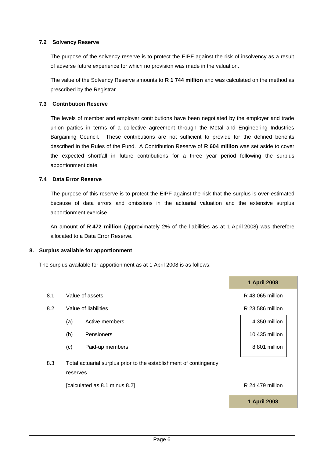#### **7.2 Solvency Reserve**

The purpose of the solvency reserve is to protect the EIPF against the risk of insolvency as a result of adverse future experience for which no provision was made in the valuation.

The value of the Solvency Reserve amounts to **R 1 744 million** and was calculated on the method as prescribed by the Registrar.

#### **7.3 Contribution Reserve**

The levels of member and employer contributions have been negotiated by the employer and trade union parties in terms of a collective agreement through the Metal and Engineering Industries Bargaining Council. These contributions are not sufficient to provide for the defined benefits described in the Rules of the Fund. A Contribution Reserve of **R 604 million** was set aside to cover the expected shortfall in future contributions for a three year period following the surplus apportionment date.

#### **7.4 Data Error Reserve**

The purpose of this reserve is to protect the EIPF against the risk that the surplus is over-estimated because of data errors and omissions in the actuarial valuation and the extensive surplus apportionment exercise.

An amount of **R 472 million** (approximately 2% of the liabilities as at 1 April 2008) was therefore allocated to a Data Error Reserve.

#### **8. Surplus available for apportionment**

The surplus available for apportionment as at 1 April 2008 is as follows:

|                               |                                                                               |                 |                  | 1 April 2008     |
|-------------------------------|-------------------------------------------------------------------------------|-----------------|------------------|------------------|
| 8.1                           | Value of assets                                                               |                 | R 48 065 million |                  |
| 8.2                           | Value of liabilities                                                          |                 |                  | R 23 586 million |
|                               | (a)                                                                           | Active members  |                  | 4 350 million    |
|                               | (b)                                                                           | Pensioners      |                  | 10 435 million   |
|                               | (c)                                                                           | Paid-up members |                  | 8 801 million    |
| 8.3                           | Total actuarial surplus prior to the establishment of contingency<br>reserves |                 |                  |                  |
| [calculated as 8.1 minus 8.2] |                                                                               |                 |                  | R 24 479 million |
|                               |                                                                               |                 |                  | 1 April 2008     |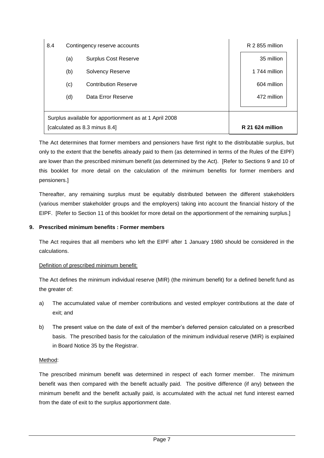| 8.4                                                                                     | Contingency reserve accounts |                             | R 2 855 million |                         |
|-----------------------------------------------------------------------------------------|------------------------------|-----------------------------|-----------------|-------------------------|
|                                                                                         | (a)                          | <b>Surplus Cost Reserve</b> |                 | 35 million              |
|                                                                                         | (b)                          | <b>Solvency Reserve</b>     |                 | 1 744 million           |
|                                                                                         | (c)                          | <b>Contribution Reserve</b> |                 | 604 million             |
|                                                                                         | (d)                          | Data Error Reserve          |                 | 472 million             |
| Surplus available for apportionment as at 1 April 2008<br>[calculated as 8.3 minus 8.4] |                              |                             |                 | <b>R</b> 21 624 million |

The Act determines that former members and pensioners have first right to the distributable surplus, but only to the extent that the benefits already paid to them (as determined in terms of the Rules of the EIPF) are lower than the prescribed minimum benefit (as determined by the Act). [Refer to Sections 9 and 10 of this booklet for more detail on the calculation of the minimum benefits for former members and pensioners.]

Thereafter, any remaining surplus must be equitably distributed between the different stakeholders (various member stakeholder groups and the employers) taking into account the financial history of the EIPF. [Refer to Section 11 of this booklet for more detail on the apportionment of the remaining surplus.]

#### **9. Prescribed minimum benefits : Former members**

The Act requires that all members who left the EIPF after 1 January 1980 should be considered in the calculations.

#### Definition of prescribed minimum benefit:

The Act defines the minimum individual reserve (MIR) (the minimum benefit) for a defined benefit fund as the greater of:

- a) The accumulated value of member contributions and vested employer contributions at the date of exit; and
- b) The present value on the date of exit of the member's deferred pension calculated on a prescribed basis. The prescribed basis for the calculation of the minimum individual reserve (MIR) is explained in Board Notice 35 by the Registrar.

#### Method:

The prescribed minimum benefit was determined in respect of each former member. The minimum benefit was then compared with the benefit actually paid. The positive difference (if any) between the minimum benefit and the benefit actually paid, is accumulated with the actual net fund interest earned from the date of exit to the surplus apportionment date.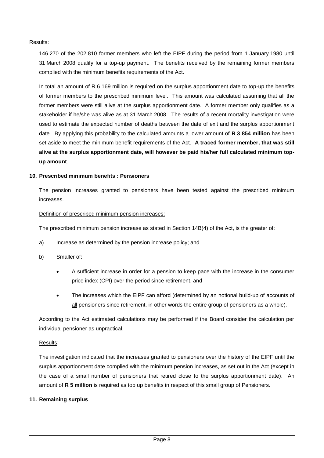#### Results:

146 270 of the 202 810 former members who left the EIPF during the period from 1 January 1980 until 31 March 2008 qualify for a top-up payment. The benefits received by the remaining former members complied with the minimum benefits requirements of the Act.

In total an amount of R 6 169 million is required on the surplus apportionment date to top-up the benefits of former members to the prescribed minimum level. This amount was calculated assuming that all the former members were still alive at the surplus apportionment date. A former member only qualifies as a stakeholder if he/she was alive as at 31 March 2008. The results of a recent mortality investigation were used to estimate the expected number of deaths between the date of exit and the surplus apportionment date. By applying this probability to the calculated amounts a lower amount of **R 3 854 million** has been set aside to meet the minimum benefit requirements of the Act. **A traced former member, that was still alive at the surplus apportionment date, will however be paid his/her full calculated minimum topup amount**.

#### **10. Prescribed minimum benefits : Pensioners**

The pension increases granted to pensioners have been tested against the prescribed minimum increases.

#### Definition of prescribed minimum pension increases:

The prescribed minimum pension increase as stated in Section 14B(4) of the Act, is the greater of:

- a) Increase as determined by the pension increase policy; and
- b) Smaller of:
	- A sufficient increase in order for a pension to keep pace with the increase in the consumer price index (CPI) over the period since retirement, and
	- The increases which the EIPF can afford (determined by an notional build-up of accounts of all pensioners since retirement, in other words the entire group of pensioners as a whole).

According to the Act estimated calculations may be performed if the Board consider the calculation per individual pensioner as unpractical.

#### Results:

The investigation indicated that the increases granted to pensioners over the history of the EIPF until the surplus apportionment date complied with the minimum pension increases, as set out in the Act (except in the case of a small number of pensioners that retired close to the surplus apportionment date). An amount of **R 5 million** is required as top up benefits in respect of this small group of Pensioners.

#### **11. Remaining surplus**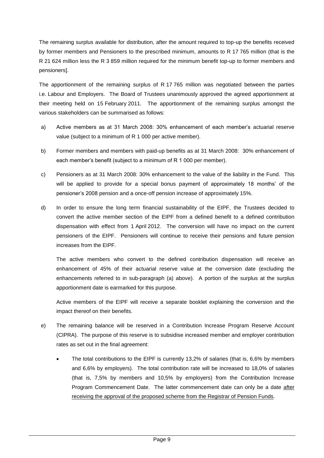The remaining surplus available for distribution, after the amount required to top-up the benefits received by former members and Pensioners to the prescribed minimum, amounts to R 17 765 million (that is the R 21 624 million less the R 3 859 million required for the minimum benefit top-up to former members and pensioners].

The apportionment of the remaining surplus of R 17 765 million was negotiated between the parties i.e. Labour and Employers. The Board of Trustees unanimously approved the agreed apportionment at their meeting held on 15 February 2011. The apportionment of the remaining surplus amongst the various stakeholders can be summarised as follows:

- a) Active members as at 31 March 2008: 30% enhancement of each member's actuarial reserve value (subject to a minimum of R 1 000 per active member).
- b) Former members and members with paid-up benefits as at 31 March 2008: 30% enhancement of each member's benefit (subject to a minimum of R 1 000 per member).
- c) Pensioners as at 31 March 2008: 30% enhancement to the value of the liability in the Fund. This will be applied to provide for a special bonus payment of approximately 18 months' of the pensioner's 2008 pension and a once-off pension increase of approximately 15%.
- d) In order to ensure the long term financial sustainability of the EIPF, the Trustees decided to convert the active member section of the EIPF from a defined benefit to a defined contribution dispensation with effect from 1 April 2012. The conversion will have no impact on the current pensioners of the EIPF. Pensioners will continue to receive their pensions and future pension increases from the EIPF.

The active members who convert to the defined contribution dispensation will receive an enhancement of 45% of their actuarial reserve value at the conversion date (excluding the enhancements referred to in sub-paragraph (a) above). A portion of the surplus at the surplus apportionment date is earmarked for this purpose.

Active members of the EIPF will receive a separate booklet explaining the conversion and the impact thereof on their benefits.

- e) The remaining balance will be reserved in a Contribution Increase Program Reserve Account (CIPRA). The purpose of this reserve is to subsidise increased member and employer contribution rates as set out in the final agreement:
	- The total contributions to the EIPF is currently 13,2% of salaries (that is, 6,6% by members and 6,6% by employers). The total contribution rate will be increased to 18,0% of salaries (that is, 7,5% by members and 10,5% by employers) from the Contribution Increase Program Commencement Date. The latter commencement date can only be a date after receiving the approval of the proposed scheme from the Registrar of Pension Funds.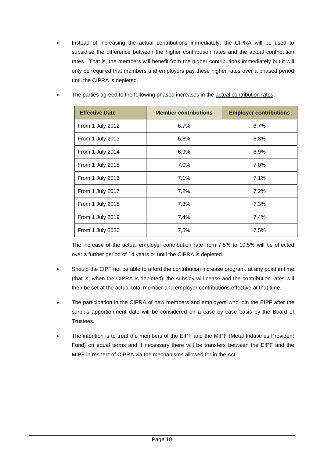Instead of increasing the actual contributions immediately, the CIPRA will be used to subsidise the difference between the higher contribution rates and the actual contribution rates. That is, the members will benefit from the higher contributions immediately but it will only be required that members and employers pay these higher rates over a phased period until the CIPRA is depleted.

| <b>Effective Date</b> | <b>Member contributions</b> | <b>Employer contributions</b> |
|-----------------------|-----------------------------|-------------------------------|
| From 1 July 2012      | 6,7%                        | 6,7%                          |
| From 1 July 2013      | 6,8%                        | 6,8%                          |
| From 1 July 2014      | 6,9%                        | 6,9%                          |
| From 1 July 2015      | 7,0%                        | 7,0%                          |
| From 1 July 2016      | 7,1%                        | 7,1%                          |
| From 1 July 2017      | 7,2%                        | 7,2%                          |
| From 1 July 2018      | 7,3%                        | 7,3%                          |
| From 1 July 2019      | 7,4%                        | 7,4%                          |
| From 1 July 2020      | 7,5%                        | 7,5%                          |

The parties agreed to the following phased increases in the actual contribution rates:

The increase of the actual employer contribution rate from 7,5% to 10,5% will be effected over a further period of 14 years or until the CIPRA is depleted.

- Should the EIPF not be able to afford the contribution increase program, at any point in time (that is, when the CIPRA is depleted), the subsidy will cease and the contribution rates will then be set at the actual total member and employer contributions effective at that time.
- The participation in the CIPRA of new members and employers who join the EIPF after the surplus apportionment date will be considered on a case by case basis by the Board of Trustees.
- The intention is to treat the members of the EIPF and the MIPF (Metal Industries Provident Fund) on equal terms and if necessary there will be transfers between the EIPF and the MIPF in respect of CIPRA via the mechanisms allowed for in the Act.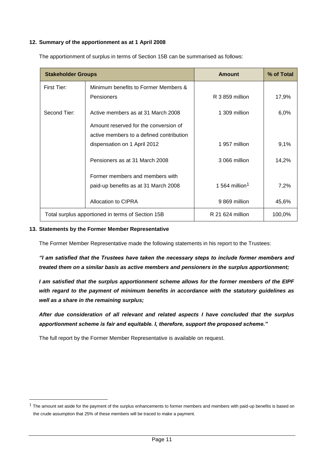#### **12. Summary of the apportionment as at 1 April 2008**

| <b>Stakeholder Groups</b>                           |                                                   | <b>Amount</b>              | % of Total |
|-----------------------------------------------------|---------------------------------------------------|----------------------------|------------|
| First Tier:<br>Minimum benefits to Former Members & |                                                   |                            |            |
|                                                     | <b>Pensioners</b>                                 | R 3 859 million            | 17,9%      |
| Second Tier:                                        | Active members as at 31 March 2008                | 1 309 million              | 6,0%       |
|                                                     | Amount reserved for the conversion of             |                            |            |
|                                                     | active members to a defined contribution          |                            |            |
|                                                     | dispensation on 1 April 2012                      | 1 957 million              | 9,1%       |
|                                                     | Pensioners as at 31 March 2008                    | 3 066 million              | 14,2%      |
|                                                     | Former members and members with                   |                            |            |
|                                                     | paid-up benefits as at 31 March 2008              | 1 564 million <sup>1</sup> | 7,2%       |
|                                                     | Allocation to CIPRA                               | 9869 million               | 45,6%      |
|                                                     | Total surplus apportioned in terms of Section 15B | R 21 624 million           | 100,0%     |

The apportionment of surplus in terms of Section 15B can be summarised as follows:

#### **13. Statements by the Former Member Representative**

-

The Former Member Representative made the following statements in his report to the Trustees:

*"I am satisfied that the Trustees have taken the necessary steps to include former members and treated them on a similar basis as active members and pensioners in the surplus apportionment;*

*I am satisfied that the surplus apportionment scheme allows for the former members of the EIPF with regard to the payment of minimum benefits in accordance with the statutory guidelines as well as a share in the remaining surplus;*

*After due consideration of all relevant and related aspects I have concluded that the surplus apportionment scheme is fair and equitable. I, therefore, support the proposed scheme."*

The full report by the Former Member Representative is available on request.

 $1$  The amount set aside for the payment of the surplus enhancements to former members and members with paid-up benefits is based on the crude assumption that 25% of these members will be traced to make a payment.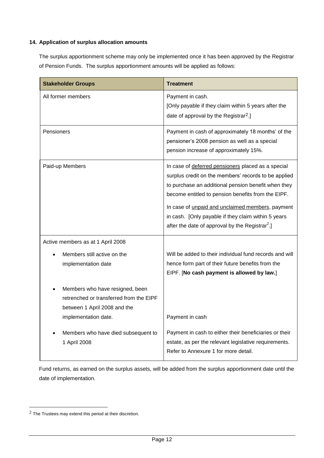#### **14. Application of surplus allocation amounts**

The surplus apportionment scheme may only be implemented once it has been approved by the Registrar of Pension Funds. The surplus apportionment amounts will be applied as follows:

| <b>Stakeholder Groups</b>                                                                                                          | <b>Treatment</b>                                                                                                                                                                                                                                                                                                                                                                                  |
|------------------------------------------------------------------------------------------------------------------------------------|---------------------------------------------------------------------------------------------------------------------------------------------------------------------------------------------------------------------------------------------------------------------------------------------------------------------------------------------------------------------------------------------------|
| All former members                                                                                                                 | Payment in cash.<br>[Only payable if they claim within 5 years after the<br>date of approval by the Registrar <sup>2</sup> .]                                                                                                                                                                                                                                                                     |
| Pensioners                                                                                                                         | Payment in cash of approximately 18 months' of the<br>pensioner's 2008 pension as well as a special<br>pension increase of approximately 15%.                                                                                                                                                                                                                                                     |
| Paid-up Members                                                                                                                    | In case of deferred pensioners placed as a special<br>surplus credit on the members' records to be applied<br>to purchase an additional pension benefit when they<br>become entitled to pension benefits from the EIPF.<br>In case of unpaid and unclaimed members, payment<br>in cash. [Only payable if they claim within 5 years<br>after the date of approval by the Registrar <sup>2</sup> .] |
| Active members as at 1 April 2008                                                                                                  |                                                                                                                                                                                                                                                                                                                                                                                                   |
| Members still active on the<br>implementation date                                                                                 | Will be added to their individual fund records and will<br>hence form part of their future benefits from the<br>EIPF. [No cash payment is allowed by law.]                                                                                                                                                                                                                                        |
| Members who have resigned, been<br>retrenched or transferred from the EIPF<br>between 1 April 2008 and the<br>implementation date. | Payment in cash                                                                                                                                                                                                                                                                                                                                                                                   |
| Members who have died subsequent to<br>1 April 2008                                                                                | Payment in cash to either their beneficiaries or their<br>estate, as per the relevant legislative requirements.<br>Refer to Annexure 1 for more detail.                                                                                                                                                                                                                                           |

Fund returns, as earned on the surplus assets, will be added from the surplus apportionment date until the date of implementation.

-

 $2$  The Trustees may extend this period at their discretion.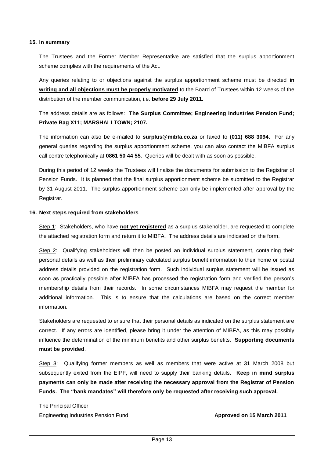#### **15. In summary**

The Trustees and the Former Member Representative are satisfied that the surplus apportionment scheme complies with the requirements of the Act.

Any queries relating to or objections against the surplus apportionment scheme must be directed **in writing and all objections must be properly motivated** to the Board of Trustees within 12 weeks of the distribution of the member communication, i.e. **before 29 July 2011.**

The address details are as follows: **The Surplus Committee; Engineering Industries Pension Fund; Private Bag X11; MARSHALLTOWN; 2107.**

The information can also be e-mailed to **surplus@mibfa.co.za** or faxed to **(011) 688 3094.** For any general queries regarding the surplus apportionment scheme, you can also contact the MIBFA surplus call centre telephonically at **0861 50 44 55**. Queries will be dealt with as soon as possible.

During this period of 12 weeks the Trustees will finalise the documents for submission to the Registrar of Pension Funds. It is planned that the final surplus apportionment scheme be submitted to the Registrar by 31 August 2011. The surplus apportionment scheme can only be implemented after approval by the Registrar.

#### **16. Next steps required from stakeholders**

Step 1: Stakeholders, who have **not yet registered** as a surplus stakeholder, are requested to complete the attached registration form and return it to MIBFA. The address details are indicated on the form.

Step 2: Qualifying stakeholders will then be posted an individual surplus statement, containing their personal details as well as their preliminary calculated surplus benefit information to their home or postal address details provided on the registration form. Such individual surplus statement will be issued as soon as practically possible after MIBFA has processed the registration form and verified the person's membership details from their records. In some circumstances MIBFA may request the member for additional information. This is to ensure that the calculations are based on the correct member information.

Stakeholders are requested to ensure that their personal details as indicated on the surplus statement are correct. If any errors are identified, please bring it under the attention of MIBFA, as this may possibly influence the determination of the minimum benefits and other surplus benefits. **Supporting documents must be provided**.

Step 3: Qualifying former members as well as members that were active at 31 March 2008 but subsequently exited from the EIPF, will need to supply their banking details. **Keep in mind surplus payments can only be made after receiving the necessary approval from the Registrar of Pension Funds. The "bank mandates" will therefore only be requested after receiving such approval.**

The Principal Officer Engineering Industries Pension Fund **Approved on 15 March 2011**